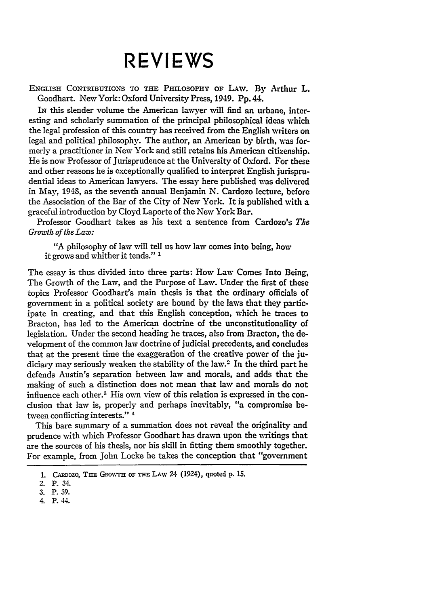## **REVIEWS**

ENGLISH CONTRIBUTIONS TO THE PHILOSOPHY OF LAW. By Arthur L. Goodhart. New York: Oxford University Press, 1949. Pp. 44.

IN this slender volume the American lawyer will find an urbane, interesting and scholarly summation of the principal philosophical ideas which the legal profession of this country has received from the English writers on legal and political philosophy. The author, an American by birth, was formerly a practitioner in New York and still retains his American citizenship. He is now Professor of Jurisprudence at the University of Oxford. For these and other reasons he is exceptionally qualified to interpret English jurisprudential ideas to American lawyers. The essay here published was delivered in May, 1948, as the seventh annual Benjamin N. Cardozo lecture, before the Association of the Bar of the City of New York. It is published with a graceful introduction by Cloyd Laporte of the New York Bar.

Professor Goodhart takes as his text a sentence from Cardozo's *The Growth of the Law:*

"A philosophy of law will tell us how law comes into being, how it grows and whither it tends." **1**

The essay is thus divided into three parts: How Law Comes Into Being, The Growth of the Law, and the Purpose of Law. Under the first of these topics Professor Goodhart's main thesis is that the ordinary officials of government in a political society are bound by the laws that they participate in creating, and that this English conception, which he traces to Bracton, has led to the American doctrine of the unconstitutionality of legislation. Under the second heading he traces, also from Bracton, the development of the common law doctrine of judicial precedents, and concludes that at the present time the exaggeration of the creative power of the judiciary may seriously weaken the stability of the law.<sup>2</sup> In the third part he defends Austin's separation between law and morals, and adds that the making of such a distinction does not mean that law and morals do not influence each other.<sup>3</sup> His own view of this relation is expressed in the conclusion that law is, properly and perhaps inevitably, "a compromise between conflicting interests." **" 1**

This bare summary of a summation does not reveal the originality and prudence with which Professor Goodhart has drawn upon the writings that are the sources of his thesis, nor his skill in fitting them smoothly together. For example, from John Locke he takes the conception that "government

<sup>1.</sup> CARDOZO, THE GROWTH OF THE LAW 24 (1924), quoted p. 15.

<sup>2.</sup> P. 34.

<sup>3.</sup> P. 39.

<sup>4.</sup> P. 44.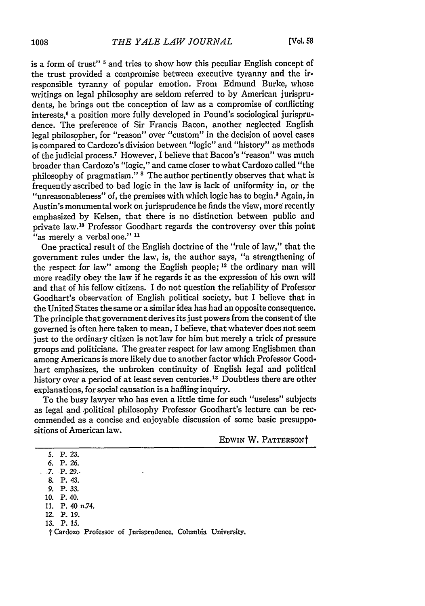is a form of trust" **5** and tries to show how this peculiar English concept of the trust provided a compromise between executive tyranny and the irresponsible tyranny of popular emotion. From Edmund Burke, whose writings on legal philosophy are seldom referred to by American jurisprudents, he brings out the conception of law as a compromise of conflicting interests,<sup>6</sup> a position more fully developed in Pound's sociological jurisprudence. The preference of Sir Francis Bacon, another neglected English legal philosopher, for "reason" over "custom" in the decision of novel cases is compared to Cardozo's division between "logic" and "history" as methods of the judicial process.7 However, I believe that Bacon's "reason" was much broader than Cardozo's "logic," and came closer to what Cardozo called "the philosophy of pragmatism." <sup>8</sup> The author pertinently observes that what is frequently ascribed to bad logic in the law is lack of uniformity in, or the "unreasonableness" of, the premises with which logic has to begin.<sup>9</sup> Again, in Austin's monumental work on jurisprudence he finds the view, more recently emphasized by Kelsen, that there is no distinction between public and private law. 10 Professor Goodhart regards the controversy over this point ''as merely a verbal one." **<sup>11</sup>**

One practical result of the English doctrine of the "rule of law," that the government rules under the law, is, the author says, "a strengthening of the respect for law" among the English people; **12** the ordinary man will more readily obey the law if he regards it as the expression of his own will and that of his fellow citizens. I do not question the reliability of Professor Goodhart's observation of English political society, but **I** believe that in the United States the same or a similar idea has had an opposite consequence. The principle that government derives its just powers from the consent of the governed is often here taken to mean, I believe, that whatever does not seem just to the ordinary citizen is not law for him but merely a trick of pressure groups and politicians. The greater respect for law among Englishmen than among Americans is more likely due to another factor which Professor Goodhart emphasizes, the unbroken continuity of English legal and political history over a period of at least seven centuries.13 Doubtless there are other explanations, for social causation is a baffling inquiry.

To the busy lawyer who has even a little time for such "useless" subjects as legal and .political philosophy Professor Goodhart's lecture can be recommended as a concise and enjoyable discussion of some basic presuppositions of American law.

EDWIN W. PATTERSONt

5. P. 23. 6. P. 26.

**-7. -P. 29.-**

8. P. 43.

9. P. 33.

10. P. 40.

11. P. 40 n.74. 12. P. 19.

13. P. 15.

t Cardozo Professor of Jurisprudence, Columbia University.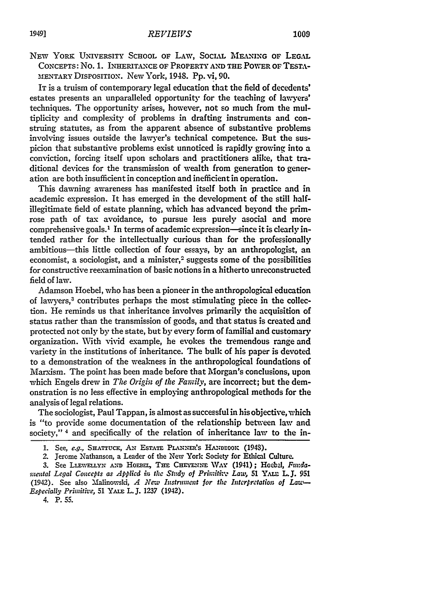NEW YORK UNIVERSITY SCHOOL OF LAW, SOCIAL MEANING OF LEGAL CONCEPTS: No. 1. INHERITANCE OF PROPERTY AND THE POWER OF TESTA-MENTARY DISPOSITION. New York, 1948. Pp. vi, 90.

IT is a truism of contemporary legal education that the field of decedents' estates presents an unparalleled opportunity for the teaching of lawyers' techniques. The opportunity arises, however, not so much from the multiplicity and complexity of problems in drafting instruments and construing statutes, as from the apparent absence of substantive problems involving issues outside the lawyer's technical competence. But the suspicion that substantive problems exist unnoticed is rapidly growing into a conviction, forcing itself upon scholars and practitioners alike, that traditional devices for the transmission of wealth from generation to generation are both insufficient in conception and inefficient in operation.

This dawning awareness has manifested itself both in practice and in academic expression. It has emerged in the development of the still halfillegitimate field of estate planning, which has advanced beyond the primrose path of tax avoidance, to pursue less purely asocial and more comprehensive goals.' In terms of academic expression--since it is clearly intended rather for the intellectually curious than for the professionally ambitious-this little collection of four essays, by an anthropologist, an economist, a sociologist, and a minister, $2$  suggests some of the possibilities for constructive reexamination of basic notions in a hitherto unreconstructed field of law.

Adamson Hoebel, who has been a pioneer in the anthropological education of lawyers,<sup>3</sup> contributes perhaps the most stimulating piece in the collection. He reminds us that inheritance involves primarily the acquisition of status rather than the transmission of goods, and that status is created and protected not only by the state, but by every form of familial and customary organization. With vivid example, he evokes the tremendous range and variety in the institutions of inheritance. The bulk of his paper is devoted to a demonstration of the weakness in the anthropological foundations of Marxism. The point has been made before that Morgan's conclusions, upon which Engels drew in *The Origin of the Family*, are incorrect; but the demonstration is no less effective in employing anthropological methods for the analysis of legal relations.

The sociologist, Paul Tappan, is almost as successful in his objective, which is "to provide some documentation of the relationship between law and society,"<sup>4</sup> and specifically of the relation of inheritance law to the in-

4. P. **55.**

<sup>1.</sup> See, e.g., SHATTUCK, AN ESTATE PLANNER'S HANDEOOK (1948).

<sup>2.</sup> Jerome Nathanson, a Leader of the New York Society **for Ethical** Culture.

<sup>3.</sup> See LLEWELLYN AND HOEBEL, THE CHEYENNE WAY (1941); Hoebel, Funda*wental Legal Concepts as Applied in the Stidy of Prinmitp'r Law,* **51** YAM L J. 951 (1942). See also Malinowskd, *A Arez, Istriment for the Intcrpretation of Lau-Especially Prinitive,* 51 YAix L. **J. 1237** (1942).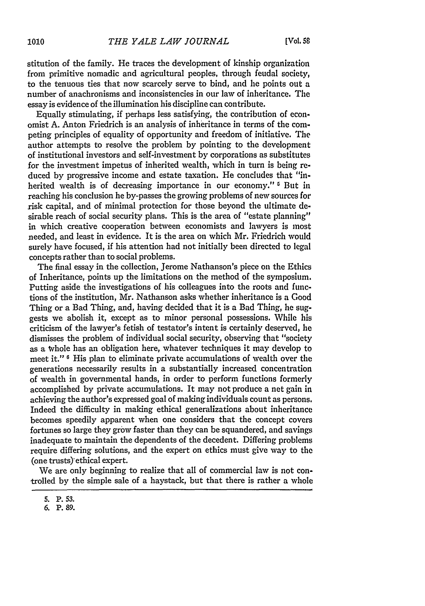stitution of the family. He traces the development of kinship organization from primitive nomadic and agricultural peoples, through feudal society, to the tenuous ties that now scarcely serve to bind, and **lie** points out a number of anachronisms and inconsistencies in our law of inheritance. The essay is evidence of the illumination his discipline can contribute.

Equally stimulating, if perhaps less satisfying, the contribution of economist A. Anton Friedrich is an analysis of inheritance in terms of the competing principles of equality of opportunity and freedom of initiative. The author attempts to resolve the problem by pointing to the development of institutional investors and self-investment by corporations as substitutes for the investment impetus of inherited wealth, which in turn is being reduced by progressive income and estate taxation. He concludes that "inherited wealth is of decreasing importance in our economy."<sup>5</sup> But in reaching his conclusion he by-passes the growing problems of new sources for risk capital, and of minimal protection for those beyond the ultimate desirable reach of social security plans. This is the area of "estate planning" in which creative cooperation between economists and lawyers is most needed, and least in evidence. It is the area on which Mr. Friedrich would surely have focused, if his attention had not initially been directed to legal concepts rather than to social problems.

The final essay in the collection, Jerome Nathanson's piece on the Ethics of Inheritance, points up the limitations on the method of the symposium. Putting aside the investigations of his colleagues into the roots and functions of the institution, Mr. Nathanson asks whether inheritance is a Good Thing or a Bad Thing, and, having decided that it is a Bad Thing, he suggests we abolish it, except as to minor personal possessions. While his criticism of the lawyer's fetish of testator's intent is certainly deserved, **he** dismisses the problem of individual social security, observing that "society as a whole has an obligation here, whatever techniques it may develop to meet it." **6** His plan to eliminate private accumulations of wealth over the generations necessarily results in a substantially increased concentration of wealth in governmental hands, in order to perform functions formerly accomplished by private accumulations. It may not produce a net gain in achieving the author's expressed goal of making individuals count as persons. Indeed the difficulty in making ethical generalizations about inheritance becomes speedily apparent when one considers that the concept covers fortunes so large they grow faster than they can be squandered, and savings inadequate to maintain the dependents of the decedent. Differing problems require differing solutions, and the expert on ethics must give way to the (one trusts)- ethical expert.

We are only beginning to realize that all of commercial law is not controlled by the simple sale of a haystack, but that there is rather a whole

**<sup>5.</sup>** P. **53.**

**<sup>6.</sup>** P. **89.**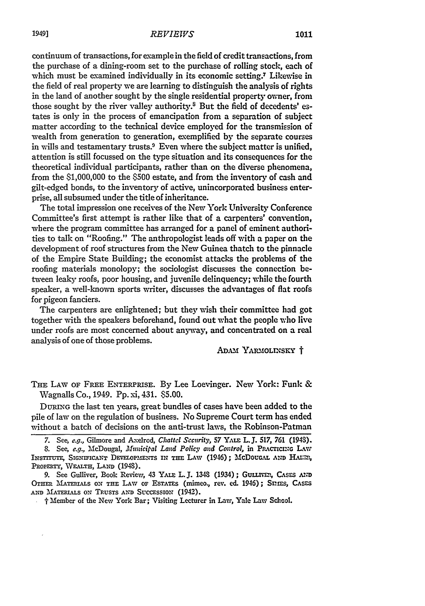continuum of transactions, for example in the field of credit transactions, from the purchase of a dining-room set to the purchase of rolling stock, each of which must be examined individually in its economic setting.<sup>7</sup> Likewise in the field of real property we are learning to distinguish the analysis of rights in the land of another sought by the single residential property owner, from those sought by the river valley authority.<sup>8</sup> But the field of decedents' estates is only in the process of emancipation from a separation of subject matter according to the technical device employed for the transmission of wealth from generation to generation, exemplified by the separate courses in wills and testamentary trusts.<sup>9</sup> Even where the subject matter is unified, attention is still focussed on the type situation and its consequences for the theoretical individual participants, rather than on the diverse phenomena, from the \$1,000,000 to the \$500 estate, and from the inventory of cash and gilt-edged bonds, to the inventory of active, unincorporated business enterprise, all subsumed under the title of inheritance.

The total impression one receives of the New York University Conference Committee's first attempt is rather like that of a carpenters' convention, where the program committee has arranged for a panel of eminent authorities to talk on "Roofing." The anthropologist leads off with a paper on the development of roof structures from the New Guinea thatch to the pinnacle of the Empire State Building; the economist attacks the problems of the roofing materials monolopy; the sociologist discusses the connection between leaky roofs, poor housing, and juvenile delinquency; while the fourth speaker, a well-known sports writer, discusses the advantages of flat roofs for pigeon fanciers.

The carpenters are enlightened; but they wish their committee had got together with the speakers beforehand, found out what the people who live under roofs are most concerned about anyway, and concentrated on a real analysis of one of those problems.

ADAM YARMOLINSKY T

THE LAW OF **FREE** ENTERPRISE. By Lee Loevinger. New York: Funk & Wagnalls Co., 1949. Pp. xi, 431. \$5.00.

**DURIG** the last ten years, great bundles of cases have been added to the pile of law on the regulation of business. No Supreme Court term has ended without a batch of decisions on the anti-trust laws, the Robinson-Patman

**9.** See Gulliver, Book Review, 43 YALE L. J. 1348 (1934); GULLIVER, CASES AND OTHER MATERIALS ON THE LAW OF ESTATES (mimeo., rev. ed. 1946); SIMES, CASES AND MATERIALS ON TRUSTS AND SUCCESSION (1942).

**-** Member of the New York Bar; Visiting Lecturer in Law, Yale Law School.

<sup>7.</sup> See, *e.g.*, Gilmore and Axelrod, *Chattel Security*, 57 YALE L.J. 517, 761 (1948).

*S.* See, *e.g.,* McDougal, *Mumicipal Land Policy and Control,* in PRAcricn.c *L.Aw* INSTITUTE, SIGNIFICANT DEVELOPMENTS IN THE LAW (1946); MCDOUGAL AND HALZE, PROPERTY, WEALTH, LAND (1948).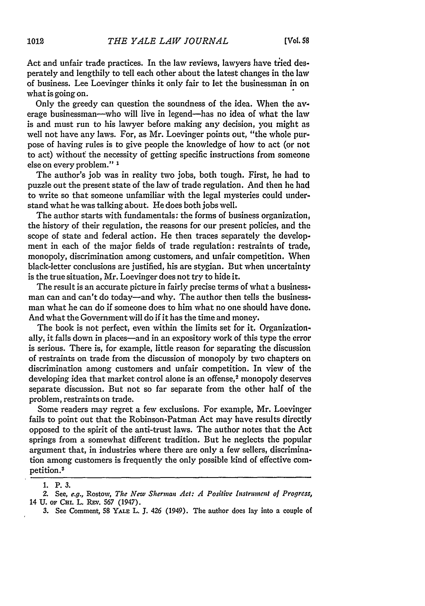Act and unfair trade practices. In the law reviews, lawyers have tried desperately and lengthily to tell each other about the latest changes in the law of business. Lee Loevinger thinks it only fair to let the businessman in on what is going on.

Only the greedy can question the soundness of the idea. When the average businessman-who will live in legend-has no idea of what the law is and must run to his lawyer before making any decision, you might as well not have any laws. For, as Mr. Loevinger points out, "the whole purpose of having rules is to give people the knowledge of how to act (or not to act) without the necessity of getting specific instructions from someone else on every problem." **I**

The author's job was in reality two jobs, both tough. First, he had to puzzle out the present state of the law of trade regulation. And then he had to write so that someone unfamiliar with the legal mysteries could understand what he was talking about. He does both jobs well.

The author starts with fundamentals: the forms of business organization, the history of their regulation, the reasons for our present policies, and the scope of state and federal action. He then traces separately the development in each of the major fields of trade regulation: restraints of trade, monopoly, discrimination among customers, and unfair competition. When black-letter conclusions are justified, his are stygian. But when uncertainty is the true situation, Mr. Loevinger does not try to hide it.

The result is an accurate picture in fairly precise terms of what a businessman can and can't do today-and why. The author then tells the businessman what he can do if someone does to him what no one should have done. And what the Government will do if it has the time and money.

The book is not perfect, even within the limits set for it. Organizationally, it falls down in places—and in an expository work of this type the error is serious. There is, for example, little reason for separating the discussion of restraints on trade from the discussion of monopoly by two chapters on discrimination among customers and unfair competition. In view of the developing idea that market control alone is an offense,<sup>2</sup> monopoly deserves separate discussion. But not so far separate from the other half of the problem, restraints on trade.

Some readers may regret a few exclusions. For example, Mr. Loevinger fails to point out that the Robinson-Patman Act may have results directly opposed to the spirit of the anti-trust laws. The author notes that the Act springs from a somewhat different tradition. But he neglects the popular argument that, in industries where there are only a few sellers, discrimination among customers is frequently the only possible kind of effective competition.<sup>3</sup>

**1.** P. **3.**

<sup>2.</sup> See, *e.g.,* Rostow, *The New Sherman Act: A Positive Instrument of Progress,* 14 U. **oF** Cir. L. REv. 567 (1947).

**<sup>3.</sup>** See Comment, 58 YALE L. J. *426* (1949). The author does lay into a couple of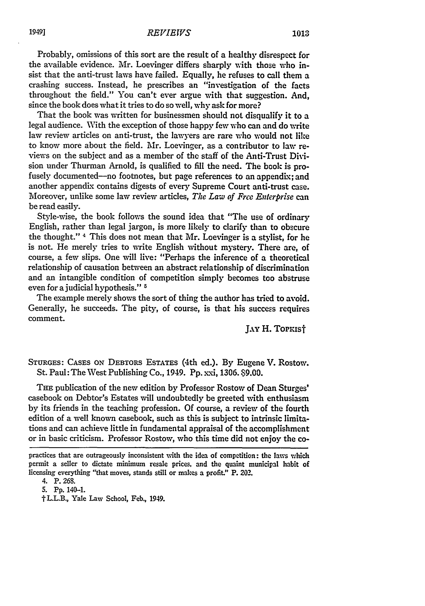Probably, omissions of this sort are the result of a healthy disrespect for the available evidence. Mr. Loevinger differs sharply with those who insist that the anti-trust laws have failed. Equally, he refuses to call them a crashing success. Instead, he prescribes an "investigation of the facts throughout the field." You can't ever argue with that suggestion. And, since the book does what it tries to do so well, why ask for more?

That the book was written for businessmen should not disqualify it to a legal audience. With the exception of those happy few who can and do write law review articles on anti-trust, the lawyers are rare who would not like to know more about the field. Mr. Loevinger, as a contributor to law reviews on the subject and as a member of the staff of the Anti-Trust Division under Thurman Arnold, is qualified to fill the need. The book is profusely documented—no footnotes, but page references to an appendix; and another appendix contains digests of every Supreme Court anti-trust case. Moreover, unlike some law review articles, *The Law of Free Enterprise* can be read easily.

Style-wise, the book follows the sound idea that "The use of ordinary English, rather than legal jargon, is more likely to clarify than to obscure the thought." 4 This does not mean that Mr. Loevinger is a stylist, for he is not. He merely tries to write English without mystery. There are, of course, a few slips. One will live: "Perhaps the inference of a theoretical relationship of causation between an abstract relationship of discrimination and an intangible condition of competition simply becomes too abstruse even for a judicial hypothesis."<sup>5</sup>

The example merely shows the sort of thing the author has tried to avoid. Generally, he succeeds. The pity, of course, is that his success requires comment.

JAY H. TOPKIST

**STURGES:** CASES **ON** DEBTORS **ESTATES** (4th ed.). By Eugene V. Rostow. St. Paul: The West Publishing Co., 1949. Pp. xxi, 1306. 89.00.

THE publication of the new edition by Professor Rostow of Dean Sturges' casebook on Debtor's Estates will undoubtedly be greeted with enthusiasm by its friends in the teaching profession. Of course, a review of the fourth edition of a well known casebook, such as this is subject to intrinsic limitations and can achieve little in fundamental appraisal of the accomplishment or in basic criticism. Professor Rostow, who this time did not enjoy the co-

practices that are outrageously inconsistent with the idea of competition: the laws which permit a seller to dictate minimum resale prices, and the quaint municipal habit of licensing everything "that moves, stands still or makes a profit." P. 202.

<sup>4.</sup> P. 268.

<sup>5.</sup> **Pp.** 140-1.

t L.L.B., Yale Law School, Feb., 1949.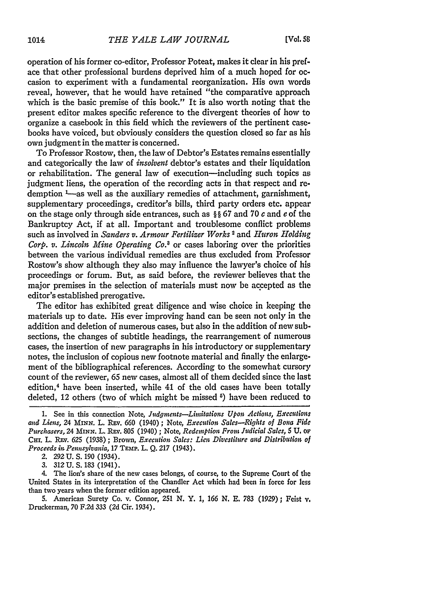operation of his former co-editor, Professor Poteat, makes it clear in his preface that other professional burdens deprived him of a much hoped for occasion to experiment with a fundamental reorganization. His own words reveal, however, that he would have retained "the comparative approach which is the basic premise of this book." It is also worth noting that the present editor makes specific reference to the divergent theories of how to organize a casebook in this field which the reviewers of the pertinent casebooks have voiced, but obviously considers the question closed so far as his own judgment in the matter is concerned.

To Professor Rostow, then, the law of Debtor's Estates remains essentially and categorically the law of *insolvent* debtor's estates and their liquidation or rehabilitation. The general law of execution-including such topics as judgment liens, the operation of the recording acts in that respect and redemption  $<sup>1</sup>$ -as well as the auxiliary remedies of attachment, garnishment,</sup> supplementary proceedings, creditor's bills, third party orders etc. appear on the stage only through side entrances, such as  $\S$  67 and 70 c and e of the Bankruptcy Act, if at all. Important and troublesome conflict problems such as involved in *Sanders v. Armour Fertilizer Works 2* and *lturon Holding Corp. v. Lincoln Mine Operating Co.'* or cases laboring over the priorities betveen the various individual remedies are thus excluded from Professor Rostow's show although they also may influence the lawyer's choice of his proceedings or forum. But, as said before, the reviewer believes that the major premises in the selection of materials must now be accepted as the editor's established prerogative.

The editor has exhibited great diligence and wise choice in keeping the materials up to date. His ever improving hand can be seen not only in the addition and deletion of numerous cases, but also in the addition of new subsections, the changes of subtitle headings, the rearrangement of numerous cases, the insertion of new paragraphs in his introductory or supplementary notes, the inclusion of copious new footnote material and finally the enlargement of the bibliographical references. According to the somewhat cursory count of the reviewer, 65 new cases, almost all of them decided since the last edition,<sup>4</sup> have been inserted, while 41 of the old cases have been totally deleted, 12 others (two of which might be missed **5)** have been reduced to

**5.** American Surety Co. v. Connor, 251 **N.** Y. 1, **166 N. E. 783** (1929); Feist **v.** Druckerman, 70 F.2d 333 (2d Cir. 1934).

**<sup>1.</sup>** See in this connection Note, *Judgments-Linmitations Upon Actions, Exreculions and Liens,* 24 **MIx.** L. **REv. 660** (1940); Note, *Execution Sales-Rights of Bona Fide Purchasers,* 24 **MINN.** L. Ray. 805 (1940) ; Note, *Redemption From Judicial Sales, 5* **U.** or **CHi.** L. REv. **625** (1938); Brown, *Execution Sales: Lien Divestiture and Distribution of Proceeds in Pennsylvania,* 17 **TEMP.** L. **Q.** 217 (1943).

<sup>2. 292</sup> **U. S.** 190 (1934).

**<sup>3. 312</sup>U. S.** 183 (1941).

<sup>4.</sup> The lion's share of the new cases belongs, of course, to the Supreme Court of the United States in its interpretation of the Chandler Act which had been in force for **less** than two years when the former edition appeared.